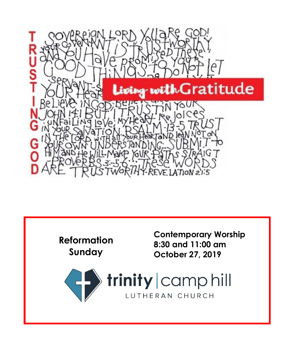

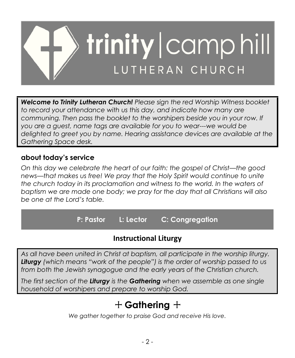

*Welcome to Trinity Lutheran Church! Please sign the red Worship Witness booklet to record your attendance with us this day, and indicate how many are communing. Then pass the booklet to the worshipers beside you in your row. If you are a guest, name tags are available for you to wear---we would be delighted to greet you by name. Hearing assistance devices are available at the Gathering Space desk.*

# **about today's service**

*On this day we celebrate the heart of our faith: the gospel of Christ—the good news—that makes us free! We pray that the Holy Spirit would continue to unite the church today in its proclamation and witness to the world. In the waters of baptism we are made one body; we pray for the day that all Christians will also be one at the Lord's table.*

**P: Pastor L: Lector C: Congregation**

# **Instructional Liturgy**

*As all have been united in Christ at baptism, all participate in the worship liturgy. Liturgy (which means "work of the people") is the order of worship passed to us from both the Jewish synagogue and the early years of the Christian church.*

*The first section of the Liturgy is the Gathering when we assemble as one single household of worshipers and prepare to worship God.*

# + **Gathering** +

*We gather together to praise God and receive His love.*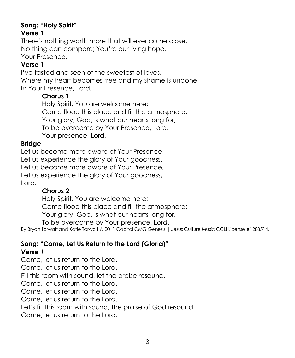#### **Song: "Holy Spirit" Verse 1**

There's nothing worth more that will ever come close. No thing can compare; You're our living hope. Your Presence.

#### **Verse 1**

I've tasted and seen of the sweetest of loves, Where my heart becomes free and my shame is undone, In Your Presence, Lord.

## **Chorus 1**

Holy Spirit, You are welcome here; Come flood this place and fill the atmosphere; Your glory, God, is what our hearts long for, To be overcome by Your Presence, Lord. Your presence, Lord.

## **Bridge**

Let us become more aware of Your Presence; Let us experience the glory of Your goodness. Let us become more aware of Your Presence; Let us experience the glory of Your goodness, Lord.

## **Chorus 2**

Holy Spirit, You are welcome here; Come flood this place and fill the atmosphere; Your glory, God, is what our hearts long for, To be overcome by Your presence, Lord.

By Bryan Torwalt and Katie Torwalt © 2011 Capitol CMG Genesis | Jesus Culture Music CCLI License #1283514.

#### **Song: "Come, Let Us Return to the Lord (Gloria)"** *Verse 1*

Come, let us return to the Lord. Come, let us return to the Lord. Fill this room with sound, let the praise resound. Come, let us return to the Lord. Come, let us return to the Lord.

Come, let us return to the Lord.

Let's fill this room with sound, the praise of God resound.

Come, let us return to the Lord.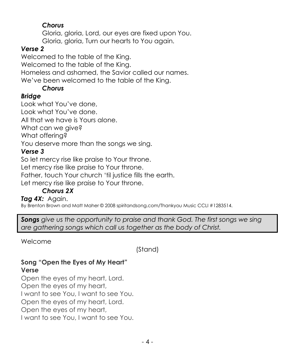# *Chorus*

Gloria, gloria, Lord, our eyes are fixed upon You. Gloria, gloria, Turn our hearts to You again.

# *Verse 2*

Welcomed to the table of the King. Welcomed to the table of the King. Homeless and ashamed, the Savior called our names. We've been welcomed to the table of the King.

# *Chorus*

# *Bridge*

Look what You've done, Look what You've done. All that we have is Yours alone. What can we give? What offering? You deserve more than the songs we sing. *Verse 3*

So let mercy rise like praise to Your throne. Let mercy rise like praise to Your throne. Father, touch Your church 'til justice fills the earth. Let mercy rise like praise to Your throne.

# *Chorus 2X*

# *Tag 4X:* Again.

By Brenton Brown and Matt Maher © 2008 spiritandsong.com/Thankyou Music CCLI #1283514.

*Songs give us the opportunity to praise and thank God. The first songs we sing are gathering songs which call us together as the body of Christ.*

Welcome

(Stand)

## **Song "Open the Eyes of My Heart" Verse**

Open the eyes of my heart, Lord. Open the eyes of my heart, I want to see You, I want to see You. Open the eyes of my heart, Lord. Open the eyes of my heart, I want to see You, I want to see You.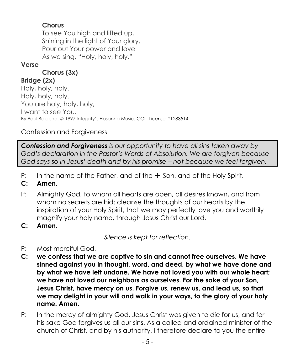# **Chorus**

To see You high and lifted up, Shining in the light of Your glory. Pour out Your power and love As we sing, "Holy, holy, holy."

## **Verse**

# **Chorus (3x)**

**Bridge (2x)** Holy, holy, holy. Holy, holy, holy. You are holy, holy, holy, I want to see You. By Paul Baloche. © 1997 Integrity's Hosanna Music. CCLI License #1283514.

# Confession and Forgiveness

*Confession and Forgiveness is our opportunity to have all sins taken away by God's declaration in the Pastor's Words of Absolution. We are forgiven because God says so in Jesus' death and by his promise – not because we feel forgiven.*

- P: In the name of the Father, and of the  $+$  Son, and of the Holy Spirit.
- **C: Amen.**
- P: Almighty God, to whom all hearts are open, all desires known, and from whom no secrets are hid: cleanse the thoughts of our hearts by the inspiration of your Holy Spirit, that we may perfectly love you and worthily magnify your holy name, through Jesus Christ our Lord.
- **C: Amen.**

*Silence is kept for reflection.*

- P: Most merciful God,
- **C: we confess that we are captive to sin and cannot free ourselves. We have sinned against you in thought, word, and deed, by what we have done and by what we have left undone. We have not loved you with our whole heart; we have not loved our neighbors as ourselves. For the sake of your Son, Jesus Christ, have mercy on us. Forgive us, renew us, and lead us, so that we may delight in your will and walk in your ways, to the glory of your holy name. Amen.**
- P: In the mercy of almighty God, Jesus Christ was given to die for us, and for his sake God forgives us all our sins. As a called and ordained minister of the church of Christ, and by his authority, I therefore declare to you the entire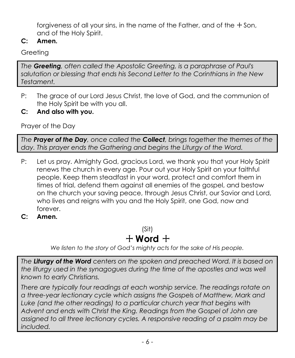forgiveness of all your sins, in the name of the Father, and of the  $\pm$  Son, and of the Holy Spirit.

**C: Amen.**

Greeting

*The Greeting, often called the Apostolic Greeting, is a paraphrase of Paul's salutation or blessing that ends his Second Letter to the Corinthians in the New Testament.*

- P: The grace of our Lord Jesus Christ, the love of God, and the communion of the Holy Spirit be with you all.
- **C: And also with you.**

Prayer of the Day

*The Prayer of the Day, once called the Collect, brings together the themes of the day. This prayer ends the Gathering and begins the Liturgy of the Word.*

- P: Let us pray. Almighty God, gracious Lord, we thank you that your Holy Spirit renews the church in every age. Pour out your Holy Spirit on your faithful people. Keep them steadfast in your word, protect and comfort them in times of trial, defend them against all enemies of the gospel, and bestow on the church your saving peace, through Jesus Christ, our Savior and Lord, who lives and reigns with you and the Holy Spirit, one God, now and forever.
- **C: Amen.**

(Sit)  $+$  Word  $+$ 

*We listen to the story of God's mighty acts for the sake of His people.*

*The Liturgy of the Word centers on the spoken and preached Word. It is based on the liturgy used in the synagogues during the time of the apostles and was well known to early Christians.*

*There are typically four readings at each worship service. The readings rotate on a three-year lectionary cycle which assigns the Gospels of Matthew, Mark and*  Luke (and the other readings) to a particular church year that begins with *Advent and ends with Christ the King. Readings from the Gospel of John are assigned to all three lectionary cycles. A responsive reading of a psalm may be included.*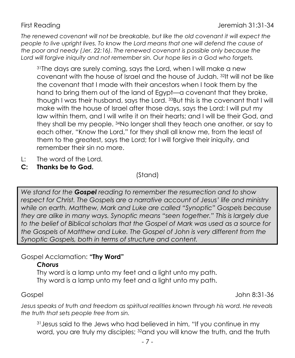*The renewed covenant will not be breakable, but like the old covenant it will expect the people to live upright lives. To know the Lord means that one will defend the cause of the poor and needy (Jer. 22:16). The renewed covenant is possible only because the Lord will forgive iniquity and not remember sin. Our hope lies in a God who forgets.*

<sup>31</sup>The days are surely coming, says the Lord, when I will make a new covenant with the house of Israel and the house of Judah. <sup>32</sup>It will not be like the covenant that I made with their ancestors when I took them by the hand to bring them out of the land of Egypt—a covenant that they broke, though I was their husband, says the Lord. <sup>33</sup>But this is the covenant that I will make with the house of Israel after those days, says the Lord: I will put my law within them, and I will write it on their hearts; and I will be their God, and they shall be my people. <sup>34</sup>No longer shall they teach one another, or say to each other, "Know the Lord," for they shall all know me, from the least of them to the greatest, says the Lord; for I will forgive their iniquity, and remember their sin no more.

- L: The word of the Lord.
- **C: Thanks be to God.**

(Stand)

*We stand for the Gospel reading to remember the resurrection and to show respect for Christ. The Gospels are a narrative account of Jesus' life and ministry while on earth. Matthew, Mark and Luke are called "Synoptic" Gospels because they are alike in many ways. Synoptic means "seen together." This is largely due to the belief of Biblical scholars that the Gospel of Mark was used as a source for the Gospels of Matthew and Luke. The Gospel of John is very different from the Synoptic Gospels, both in terms of structure and content.*

## Gospel Acclamation: **"Thy Word"**

#### *Chorus*

Thy word is a lamp unto my feet and a light unto my path. Thy word is a lamp unto my feet and a light unto my path.

Gospel John 8:31-36

*Jesus speaks of truth and freedom as spiritual realities known through his word. He reveals the truth that sets people free from sin.*

<sup>31</sup>Jesus said to the Jews who had believed in him, "If you continue in my word, you are truly my disciples; <sup>32</sup>and you will know the truth, and the truth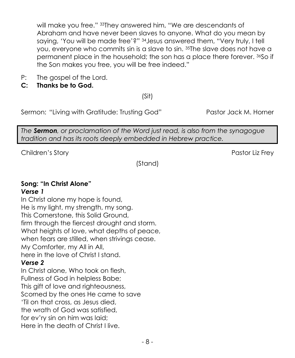will make you free." 33They answered him, "We are descendants of Abraham and have never been slaves to anyone. What do you mean by saying, 'You will be made free'?" 34Jesus answered them, "Very truly, I tell you, everyone who commits sin is a slave to sin. 35The slave does not have a permanent place in the household; the son has a place there forever. 36So if the Son makes you free, you will be free indeed."

- P: The gospel of the Lord.
- **C: Thanks be to God.**

(Sit)

Sermon: "Living with Gratitude: Trusting God" Pastor Jack M. Horner

*The Sermon, or proclamation of the Word just read, is also from the synagogue tradition and has its roots deeply embedded in Hebrew practice.*

Children's Story **Pastor Liz Frey** 

(Stand)

#### **Song: "In Christ Alone"** *Verse 1*

In Christ alone my hope is found, He is my light, my strength, my song. This Cornerstone, this Solid Ground, firm through the fiercest drought and storm. What heights of love, what depths of peace, when fears are stilled, when strivings cease. My Comforter, my All in All, here in the love of Christ I stand.

## *Verse 2*

In Christ alone, Who took on flesh, Fullness of God in helpless Babe; This gift of love and righteousness, Scorned by the ones He came to save 'Til on that cross, as Jesus died, the wrath of God was satisfied, for ev'ry sin on him was laid; Here in the death of Christ I live.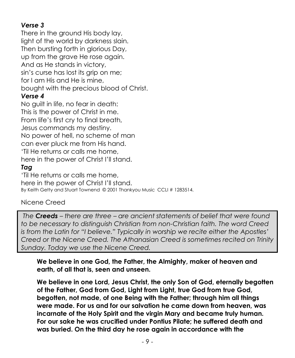# *Verse 3*

There in the ground His body lay, light of the world by darkness slain. Then bursting forth in glorious Day, up from the grave He rose again. And as He stands in victory, sin's curse has lost its grip on me; for I am His and He is mine, bought with the precious blood of Christ.

#### *Verse 4*

No guilt in life, no fear in death: This is the power of Christ in me. From life's first cry to final breath, Jesus commands my destiny. No power of hell, no scheme of man can ever pluck me from His hand. 'Til He returns or calls me home, here in the power of Christ I'll stand.

## *Tag*

'Til He returns or calls me home, here in the power of Christ I'll stand. By Keith Getty and Stuart Townend © 2001 Thankyou Music CCLI # 1283514.

#### Nicene Creed

*The Creeds – there are three – are ancient statements of belief that were found to be necessary to distinguish Christian from non-Christian faith. The word Creed is from the Latin for "I believe." Typically in worship we recite either the Apostles' Creed or the Nicene Creed. The Athanasian Creed is sometimes recited on Trinity Sunday. Today we use the Nicene Creed.*

#### **We believe in one God, the Father, the Almighty, maker of heaven and earth, of all that is, seen and unseen.**

**We believe in one Lord, Jesus Christ, the only Son of God, eternally begotten of the Father, God from God, Light from Light, true God from true God, begotten, not made, of one Being with the Father; through him all things were made. For us and for our salvation he came down from heaven, was incarnate of the Holy Spirit and the virgin Mary and became truly human. For our sake he was crucified under Pontius Pilate; he suffered death and was buried. On the third day he rose again in accordance with the**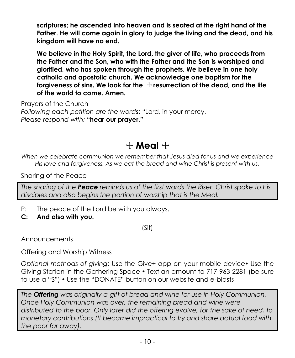**scriptures; he ascended into heaven and is seated at the right hand of the Father. He will come again in glory to judge the living and the dead, and his kingdom will have no end.**

**We believe in the Holy Spirit, the Lord, the giver of life, who proceeds from the Father and the Son, who with the Father and the Son is worshiped and glorified, who has spoken through the prophets. We believe in one holy catholic and apostolic church. We acknowledge one baptism for the**  forgiveness of sins. We look for the  $+$  resurrection of the dead, and the life **of the world to come. Amen.**

Prayers of the Church *Following each petition are the words*: "Lord, in your mercy, *Please respond with:* **"hear our prayer."**

# $+$  Meal  $+$

*When we celebrate communion we remember that Jesus died for us and we experience His love and forgiveness. As we eat the bread and wine Christ is present with us.*

Sharing of the Peace

*The sharing of the Peace reminds us of the first words the Risen Christ spoke to his disciples and also begins the portion of worship that is the Meal.*

- P: The peace of the Lord be with you always.
- **C: And also with you.**

(Sit)

Announcements

Offering and Worship Witness

*Optional methods of giving*: Use the Give+ app on your mobile device• Use the Giving Station in the Gathering Space • Text an amount to 717-963-2281 (be sure to use a "\$") • Use the "DONATE" button on our website and e-blasts

*The Offering was originally a gift of bread and wine for use in Holy Communion. Once Holy Communion was over, the remaining bread and wine were distributed to the poor. Only later did the offering evolve, for the sake of need, to monetary contributions (It became impractical to try and share actual food with the poor far away).*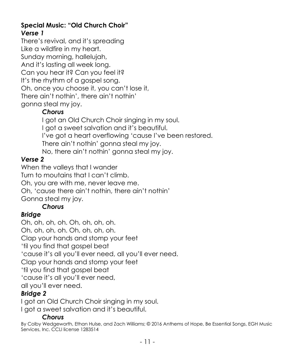## **Special Music: "Old Church Choir"** *Verse 1*

There's revival, and it's spreading Like a wildfire in my heart. Sunday morning, hallelujah, And it's lasting all week long. Can you hear it? Can you feel it? It's the rhythm of a gospel song. Oh, once you choose it, you can't lose it, There ain't nothin', there ain't nothin' gonna steal my joy.

# *Chorus*

I got an Old Church Choir singing in my soul. I got a sweet salvation and it's beautiful. I've got a heart overflowing 'cause I've been restored. There ain't nothin' gonna steal my joy. No, there ain't nothin' gonna steal my joy.

# *Verse 2*

When the valleys that I wander Turn to moutains that I can't climb. Oh, you are with me, never leave me. Oh, 'cause there ain't nothin, there ain't nothin' Gonna steal my joy.

# *Chorus*

# *Bridge*

Oh, oh, oh, oh. Oh, oh, oh, oh. Oh, oh, oh, oh. Oh, oh, oh, oh. Clap your hands and stomp your feet 'til you find that gospel beat 'cause it's all you'll ever need, all you'll ever need. Clap your hands and stomp your feet 'til you find that gospel beat 'cause it's all you'll ever need, all you'll ever need.

# *Bridge 2*

I got an Old Church Choir singing in my soul. I got a sweet salvation and it's beautiful.

# *Chorus*

By Colby Wedgeworth, Ethan Hulse, and Zach Williams; © 2016 Anthems of Hope, Be Essential Songs, EGH Music Services, Inc. CCLI license 1283514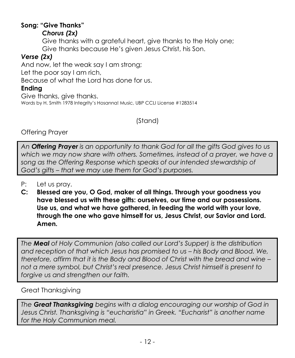# **Song: "Give Thanks"**

## *Chorus (2x)*

Give thanks with a grateful heart, give thanks to the Holy one; Give thanks because He's given Jesus Christ, his Son.

# *Verse (2x)*

And now, let the weak say I am strong;

Let the poor say I am rich,

Because of what the Lord has done for us.

# **Ending**

Give thanks, give thanks. Words by H. Smith 1978 Integrity's Hosanna! Music, UBP CCLI License #1283514

(Stand)

Offering Prayer

*An Offering Prayer is an opportunity to thank God for all the gifts God gives to us*  which we may now share with others. Sometimes, instead of a prayer, we have a *song as the Offering Response which speaks of our intended stewardship of God's gifts – that we may use them for God's purposes.*

- P: Let us pray.
- **C: Blessed are you, O God, maker of all things. Through your goodness you have blessed us with these gifts: ourselves, our time and our possessions. Use us, and what we have gathered, in feeding the world with your love, through the one who gave himself for us, Jesus Christ, our Savior and Lord. Amen.**

*The Meal of Holy Communion (also called our Lord's Supper) is the distribution and reception of that which Jesus has promised to us – his Body and Blood. We, therefore, affirm that it is the Body and Blood of Christ with the bread and wine – not a mere symbol, but Christ's real presence. Jesus Christ himself is present to forgive us and strengthen our faith.*

# Great Thanksgiving

*The Great Thanksgiving begins with a dialog encouraging our worship of God in Jesus Christ. Thanksgiving is "eucharistia" in Greek. "Eucharist" is another name for the Holy Communion meal.*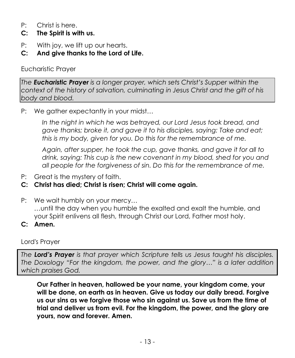- P: Christ is here.
- **C: The Spirit is with us.**
- P: With joy, we lift up our hearts.
- **C: And give thanks to the Lord of Life.**

Eucharistic Prayer

*The Eucharistic Prayer is a longer prayer, which sets Christ's Supper within the context of the history of salvation, culminating in Jesus Christ and the gift of his body and blood.* 

P: We gather expectantly in your midst…

In the night in which he was betrayed, our Lord Jesus took bread, and *gave thanks; broke it, and gave it to his disciples, saying: Take and eat; this is my body, given for you. Do this for the remembrance of me.*

*Again, after supper, he took the cup, gave thanks, and gave it for all to drink, saying: This cup is the new covenant in my blood, shed for you and all people for the forgiveness of sin. Do this for the remembrance of me.*

P: Great is the mystery of faith.

# **C: Christ has died; Christ is risen; Christ will come again.**

P: We wait humbly on your mercy…

…until the day when you humble the exalted and exalt the humble, and your Spirit enlivens all flesh, through Christ our Lord, Father most holy.

**C: Amen.**

Lord's Prayer

*The Lord's Prayer is that prayer which Scripture tells us Jesus taught his disciples. The Doxology "For the kingdom, the power, and the glory…" is a later addition which praises God.*

**Our Father in heaven, hallowed be your name, your kingdom come, your will be done, on earth as in heaven. Give us today our daily bread. Forgive us our sins as we forgive those who sin against us. Save us from the time of trial and deliver us from evil. For the kingdom, the power, and the glory are yours, now and forever. Amen.**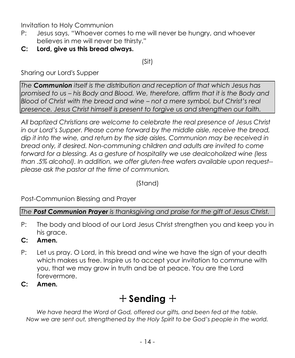Invitation to Holy Communion

- P: Jesus says, "Whoever comes to me will never be hungry, and whoever believes in me will never be thirsty."
- **C: Lord, give us this bread always.**

(Sit)

Sharing our Lord's Supper

*The Communion itself is the distribution and reception of that which Jesus has promised to us – his Body and Blood. We, therefore, affirm that it is the Body and Blood of Christ with the bread and wine – not a mere symbol, but Christ's real presence. Jesus Christ himself is present to forgive us and strengthen our faith.*

*All baptized Christians are welcome to celebrate the real presence of Jesus Christ in our Lord's Supper. Please come forward by the middle aisle, receive the bread, dip it into the wine, and return by the side aisles. Communion may be received in bread only, if desired. Non-communing children and adults are invited to come forward for a blessing. As a gesture of hospitality we use dealcoholized wine (less than .5% alcohol). In addition, we offer gluten-free wafers available upon request- please ask the pastor at the time of communion.*

(Stand)

Post-Communion Blessing and Prayer

*The Post Communion Prayer is thanksgiving and praise for the gift of Jesus Christ.*

- P: The body and blood of our Lord Jesus Christ strengthen you and keep you in his grace.
- **C: Amen.**
- P: Let us pray. O Lord, in this bread and wine we have the sign of your death which makes us free. Inspire us to accept your invitation to commune with you, that we may grow in truth and be at peace. You are the Lord forevermore.
- **C: Amen.**

# + **Sending** +

*We have heard the Word of God, offered our gifts, and been fed at the table. Now we are sent out, strengthened by the Holy Spirit to be God's people in the world.*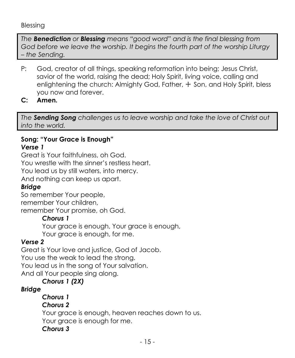#### Blessing

*The Benediction or Blessing means "good word" and is the final blessing from God before we leave the worship. It begins the fourth part of the worship Liturgy – the Sending.*

- P: God, creator of all things, speaking reformation into being; Jesus Christ, savior of the world, raising the dead; Holy Spirit, living voice, calling and enlightening the church: Almighty God, Father, + Son, and Holy Spirit, bless you now and forever.
- **C: Amen.**

*The Sending Song challenges us to leave worship and take the love of Christ out into the world.*

#### **Song: "Your Grace is Enough"** *Verse 1*

Great is Your faithfulness, oh God. You wrestle with the sinner's restless heart. You lead us by still waters, into mercy. And nothing can keep us apart.

## *Bridge*

So remember Your people, remember Your children,

remember Your promise, oh God.

## *Chorus 1*

Your grace is enough, Your grace is enough, Your grace is enough, for me.

## *Verse 2*

Great is Your love and justice, God of Jacob. You use the weak to lead the strong. You lead us in the song of Your salvation. And all Your people sing along.

## *Chorus 1 (2X)*

# *Bridge*

*Chorus 1*

## *Chorus 2*

Your grace is enough, heaven reaches down to us.

Your grace is enough for me.

## *Chorus 3*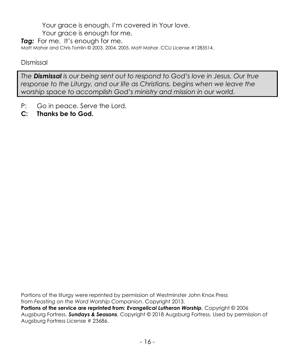Your grace is enough, I'm covered in Your love.

Your grace is enough for me,

*Tag:* For me. It's enough for me.

Matt Mahar and Chris Tomlin © 2003, 2004, 2005, Matt Mahar. CCLI License #1283514.

Dismissal

*The Dismissal is our being sent out to respond to God's love in Jesus. Our true response to the Liturgy, and our life as Christians, begins when we leave the worship space to accomplish God's ministry and mission in our world.*

- P: Go in peace. Serve the Lord.
- **C: Thanks be to God.**

Portions of the liturgy were reprinted by permission of Westminster John Knox Press from *Feasting on the Word Worship Companion*. Copyright 2013. **Portions of the service are reprinted from:** *Evangelical Lutheran Worship*, Copyright © 2006 Augsburg Fortress. *Sundays & Seasons*, Copyright © 2018 Augsburg Fortress. Used by permission of Augsburg Fortress License # 23686.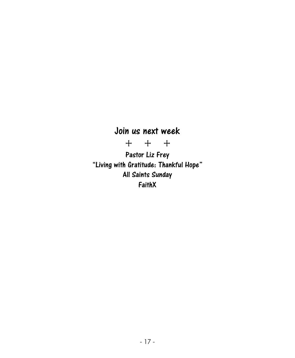# Join us next week

+ + +

Pastor Liz Frey "Living with Gratitude: Thankful Hope" All Saints Sunday FaithX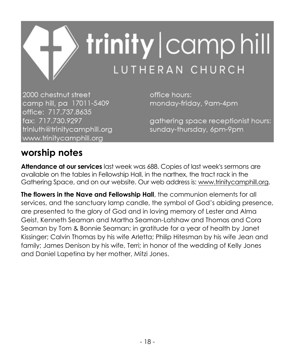

2000 chestnut street camp hill, pa 17011-5409 office: 717.737.8635 fax: 717.730.9297 trinluth@trinitycamphill.org www.trinitycamphill.org

office hours: monday-friday, 9am-4pm

gathering space receptionist hours: sunday-thursday, 6pm-9pm

# **worship notes**

**Attendance at our services** last week was 688. Copies of last week's sermons are available on the tables in Fellowship Hall, in the narthex, the tract rack in the Gathering Space, and on our website. Our web address is[: www.trinitycamphill.org.](http://www.trinitycamphill.org/)

**The flowers in the Nave and Fellowship Hall**, the communion elements for all services, and the sanctuary lamp candle, the symbol of God's abiding presence, are presented to the glory of God and in loving memory of Lester and Alma Geist, Kenneth Seaman and Martha Seaman-Latshaw and Thomas and Cora Seaman by Tom & Bonnie Seaman; in gratitude for a year of health by Janet Kissinger; Calvin Thomas by his wife Arletta; Philip Hitesman by his wife Jean and family; James Denison by his wife, Terri; in honor of the wedding of Kelly Jones and Daniel Lapetina by her mother, Mitzi Jones.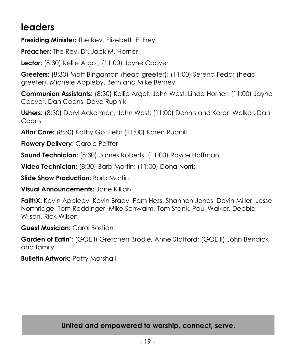# **leaders**

**Presiding Minister:** The Rev. Elizebeth E. Frey

**Preacher:** The Rev. Dr. Jack M. Horner

**Lector:** (8:30) Kellie Argot; (11:00) Jayne Coover

**Greeters:** (8:30) Matt Bingaman (head greeter); (11:00) Serena Fedor (head greeter), Michele Appleby, Beth and Mike Berney

**Communion Assistants:** (8:30) Kellie Argot, John West, Linda Horner; (11:00) Jayne Coover, Dan Coons, Dave Rupnik

**Ushers:** (8:30) Daryl Ackerman, John West; (11:00) Dennis and Karen Welker, Dan Coons

**Altar Care:** (8:30) Kathy Gottlieb; (11:00) Karen Rupnik

**Flowery Delivery**: Carole Peiffer

**Sound Technician:** (8:30) James Roberts; (11:00) Royce Hoffman

**Video Technician:** (8:30) Barb Martin; (11:00) Dona Norris

**Slide Show Production:** Barb Martin

**Visual Announcements:** Jane Killian

**FaithX:** Kevin Appleby, Kevin Brady, Pam Hess, Shannon Jones, Devin Miller, Jesse Northridge, Tom Reddinger, Mike Schwalm, Tom Stank, Paul Walker, Debbie Wilson, Rick Wilson

**Guest Musician:** Carol Bostian

**Garden of Eatin':** (GOE I) Gretchen Brodie, Anne Stafford; (GOE II) John Bendick and family

**Bulletin Artwork:** Patty Marshall

**United and empowered to worship, connect, serve.**